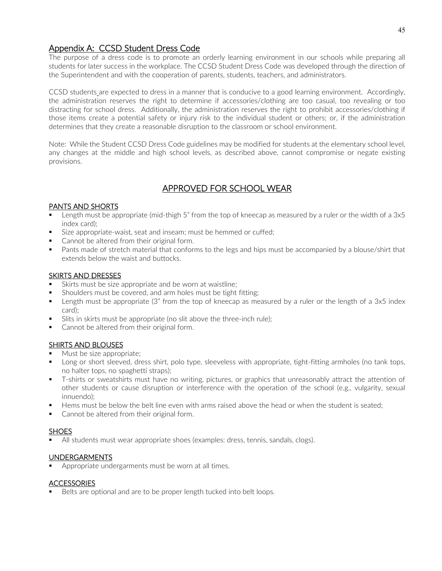## Appendix A: CCSD Student Dress Code

The purpose of a dress code is to promote an orderly learning environment in our schools while preparing all students for later success in the workplace. The CCSD Student Dress Code was developed through the direction of the Superintendent and with the cooperation of parents, students, teachers, and administrators.

CCSD students are expected to dress in a manner that is conducive to a good learning environment. Accordingly, the administration reserves the right to determine if accessories/clothing are too casual, too revealing or too distracting for school dress. Additionally, the administration reserves the right to prohibit accessories/clothing if those items create a potential safety or injury risk to the individual student or others; or, if the administration determines that they create a reasonable disruption to the classroom or school environment.

Note: While the Student CCSD Dress Code guidelines may be modified for students at the elementary school level, any changes at the middle and high school levels, as described above, cannot compromise or negate existing provisions.

## APPROVED FOR SCHOOL WEAR

## PANTS AND SHORTS

- Length must be appropriate (mid-thigh 5" from the top of kneecap as measured by a ruler or the width of a 3x5 index card);
- Size appropriate-waist, seat and inseam; must be hemmed or cuffed;
- Cannot be altered from their original form.
- **Pants made of stretch material that conforms to the legs and hips must be accompanied by a blouse/shirt that** extends below the waist and buttocks.

#### SKIRTS AND DRESSES

- Skirts must be size appropriate and be worn at waistline;
- Shoulders must be covered, and arm holes must be tight fitting;
- **E** Length must be appropriate (3" from the top of kneecap as measured by a ruler or the length of a 3x5 index card);
- Slits in skirts must be appropriate (no slit above the three-inch rule);
- Cannot be altered from their original form.

## SHIRTS AND BLOUSES

- Must be size appropriate;
- **Long or short sleeved, dress shirt, polo type, sleeveless with appropriate, tight-fitting armholes (no tank tops,** no halter tops, no spaghetti straps);
- T-shirts or sweatshirts must have no writing, pictures, or graphics that unreasonably attract the attention of other students or cause disruption or interference with the operation of the school (e.g., vulgarity, sexual innuendo);
- Hems must be below the belt line even with arms raised above the head or when the student is seated;
- Cannot be altered from their original form.

#### **SHOES**

All students must wear appropriate shoes (examples: dress, tennis, sandals, clogs).

## UNDERGARMENTS

**Appropriate undergarments must be worn at all times.** 

#### ACCESSORIES

Belts are optional and are to be proper length tucked into belt loops.